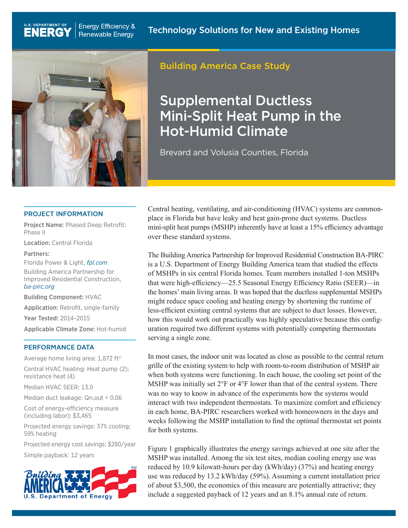

U.S. DEPARTMENT OF

**ENERG** 

## Building America Case Study

# Supplemental Ductless Mini-Split Heat Pump in the Hot-Humid Climate

Brevard and Volusia Counties, Florida

#### PROJECT INFORMATION

Project Name: Phased Deep Retrofit: Phase II

Location: Central Florida

#### Partners:

Florida Power & Light, *[fpl.com](http://fpl.com)* Building America Partnership for Improved Residential Construction, *[ba-pirc.org](http://ba-pirc.org)*

Building Component: HVAC

Application: Retrofit, single-family

Year Tested: 2014–2015

Applicable Climate Zone: Hot-humid

### PERFORMANCE DATA

Average home living area: 1,872 ft<sup>2</sup>

Central HVAC heating: Heat pump (2); resistance heat (4)

Median HVAC SEER: 13.0

Median duct leakage: Qn,out = 0.06

Cost of energy-efficiency measure (including labor): \$3,465

Projected energy savings: 37% cooling; 59% heating

Projected energy cost savings: \$280/year

Simple payback: 12 years



Central heating, ventilating, and air-conditioning (HVAC) systems are commonplace in Florida but have leaky and heat gain-prone duct systems. Ductless mini-split heat pumps (MSHP) inherently have at least a 15% efficiency advantage over these standard systems.

The Building America Partnership for Improved Residential Construction BA-PIRC is a U.S. Department of Energy Building America team that studied the effects of MSHPs in six central Florida homes. Team members installed 1-ton MSHPs that were high-efficiency—25.5 Seasonal Energy Efficiency Ratio (SEER)—in the homes' main living areas. It was hoped that the ductless supplemental MSHPs might reduce space cooling and heating energy by shortening the runtime of less-efficient existing central systems that are subject to duct losses. However, how this would work out practically was highly speculative because this configuration required two different systems with potentially competing thermostats serving a single zone.

In most cases, the indoor unit was located as close as possible to the central return grille of the existing system to help with room-to-room distribution of MSHP air when both systems were functioning. In each house, the cooling set point of the MSHP was initially set 2°F or 4°F lower than that of the central system. There was no way to know in advance of the experiments how the systems would interact with two independent thermostats. To maximize comfort and efficiency in each home, BA-PIRC researchers worked with homeowners in the days and weeks following the MSHP installation to find the optimal thermostat set points for both systems.

Figure 1 graphically illustrates the energy savings achieved at one site after the MSHP was installed. Among the six test sites, median cooling energy use was reduced by 10.9 kilowatt-hours per day (kWh/day) (37%) and heating energy use was reduced by 13.2 kWh/day (59%). Assuming a current installation price of about \$3,500, the economics of this measure are potentially attractive; they include a suggested payback of 12 years and an 8.1% annual rate of return.